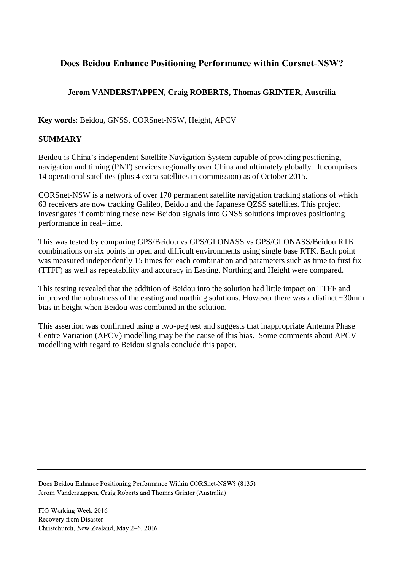# **Does Beidou Enhance Positioning Performance within Corsnet-NSW?**

# **Jerom VANDERSTAPPEN, Craig ROBERTS, Thomas GRINTER, Austrilia**

**Key words**: Beidou, GNSS, CORSnet-NSW, Height, APCV

### **SUMMARY**

Beidou is China's independent Satellite Navigation System capable of providing positioning, navigation and timing (PNT) services regionally over China and ultimately globally. It comprises 14 operational satellites (plus 4 extra satellites in commission) as of October 2015.

CORSnet-NSW is a network of over 170 permanent satellite navigation tracking stations of which 63 receivers are now tracking Galileo, Beidou and the Japanese QZSS satellites. This project investigates if combining these new Beidou signals into GNSS solutions improves positioning performance in real–time.

This was tested by comparing GPS/Beidou vs GPS/GLONASS vs GPS/GLONASS/Beidou RTK combinations on six points in open and difficult environments using single base RTK. Each point was measured independently 15 times for each combination and parameters such as time to first fix (TTFF) as well as repeatability and accuracy in Easting, Northing and Height were compared.

This testing revealed that the addition of Beidou into the solution had little impact on TTFF and improved the robustness of the easting and northing solutions. However there was a distinct ~30mm bias in height when Beidou was combined in the solution.

This assertion was confirmed using a two-peg test and suggests that inappropriate Antenna Phase Centre Variation (APCV) modelling may be the cause of this bias. Some comments about APCV modelling with regard to Beidou signals conclude this paper.

Does Beidou Enhance Positioning Performance Within CORSnet-NSW? (8135) Jerom Vanderstappen, Craig Roberts and Thomas Grinter (Australia)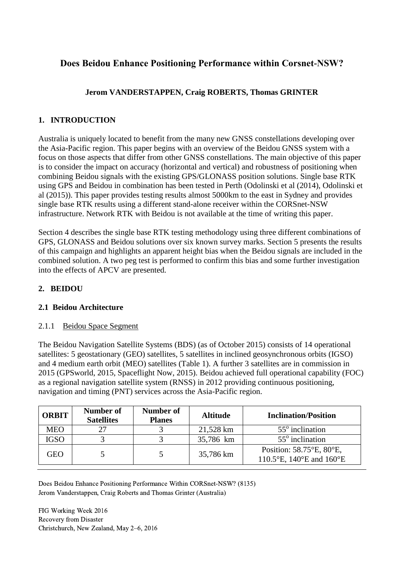# **Does Beidou Enhance Positioning Performance within Corsnet-NSW?**

# **Jerom VANDERSTAPPEN, Craig ROBERTS, Thomas GRINTER**

## **1. INTRODUCTION**

Australia is uniquely located to benefit from the many new GNSS constellations developing over the Asia-Pacific region. This paper begins with an overview of the Beidou GNSS system with a focus on those aspects that differ from other GNSS constellations. The main objective of this paper is to consider the impact on accuracy (horizontal and vertical) and robustness of positioning when combining Beidou signals with the existing GPS/GLONASS position solutions. Single base RTK using GPS and Beidou in combination has been tested in Perth (Odolinski et al (2014), Odolinski et al (2015)). This paper provides testing results almost 5000km to the east in Sydney and provides single base RTK results using a different stand-alone receiver within the CORSnet-NSW infrastructure. Network RTK with Beidou is not available at the time of writing this paper.

Section 4 describes the single base RTK testing methodology using three different combinations of GPS, GLONASS and Beidou solutions over six known survey marks. Section 5 presents the results of this campaign and highlights an apparent height bias when the Beidou signals are included in the combined solution. A two peg test is performed to confirm this bias and some further investigation into the effects of APCV are presented.

### **2. BEIDOU**

### **2.1 Beidou Architecture**

### 2.1.1 Beidou Space Segment

The Beidou Navigation Satellite Systems (BDS) (as of October 2015) consists of 14 operational satellites: 5 geostationary (GEO) satellites, 5 satellites in inclined geosynchronous orbits (IGSO) and 4 medium earth orbit (MEO) satellites (Table 1). A further 3 satellites are in commission in 2015 (GPSworld, 2015, Spaceflight Now, 2015). Beidou achieved full operational capability (FOC) as a regional navigation satellite system (RNSS) in 2012 providing continuous positioning, navigation and timing (PNT) services across the Asia-Pacific region.

| <b>ORBIT</b> | Number of<br><b>Satellites</b> | Number of<br><b>Planes</b> | <b>Altitude</b> | <b>Inclination/Position</b>                          |
|--------------|--------------------------------|----------------------------|-----------------|------------------------------------------------------|
| <b>MEO</b>   |                                |                            | 21,528 km       | $55^\circ$ inclination                               |
| <b>IGSO</b>  |                                |                            | 35,786 km       | $55^\circ$ inclination                               |
| GEO          |                                |                            | 35,786 km       | Position: 58.75°E, 80°E,<br>110.5°E, 140°E and 160°E |

Does Beidou Enhance Positioning Performance Within CORSnet-NSW? (8135) Jerom Vanderstappen, Craig Roberts and Thomas Grinter (Australia)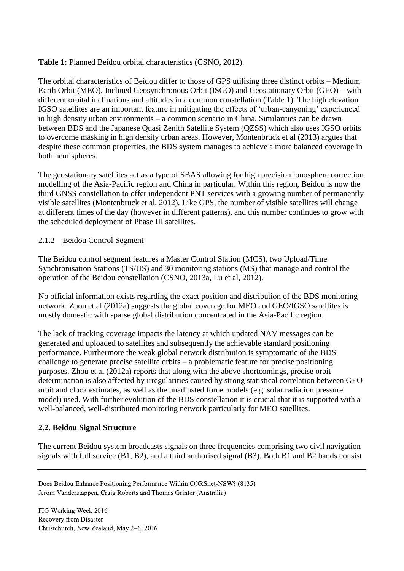### **Table 1:** Planned Beidou orbital characteristics (CSNO, 2012).

The orbital characteristics of Beidou differ to those of GPS utilising three distinct orbits – Medium Earth Orbit (MEO), Inclined Geosynchronous Orbit (ISGO) and Geostationary Orbit (GEO) – with different orbital inclinations and altitudes in a common constellation (Table 1). The high elevation IGSO satellites are an important feature in mitigating the effects of 'urban-canyoning' experienced in high density urban environments – a common scenario in China. Similarities can be drawn between BDS and the Japanese Quasi Zenith Satellite System (QZSS) which also uses IGSO orbits to overcome masking in high density urban areas. However, Montenbruck et al (2013) argues that despite these common properties, the BDS system manages to achieve a more balanced coverage in both hemispheres.

The geostationary satellites act as a type of SBAS allowing for high precision ionosphere correction modelling of the Asia-Pacific region and China in particular. Within this region, Beidou is now the third GNSS constellation to offer independent PNT services with a growing number of permanently visible satellites (Montenbruck et al, 2012). Like GPS, the number of visible satellites will change at different times of the day (however in different patterns), and this number continues to grow with the scheduled deployment of Phase III satellites.

### 2.1.2 Beidou Control Segment

The Beidou control segment features a Master Control Station (MCS), two Upload/Time Synchronisation Stations (TS/US) and 30 monitoring stations (MS) that manage and control the operation of the Beidou constellation (CSNO, 2013a, Lu et al, 2012).

No official information exists regarding the exact position and distribution of the BDS monitoring network. Zhou et al (2012a) suggests the global coverage for MEO and GEO/IGSO satellites is mostly domestic with sparse global distribution concentrated in the Asia-Pacific region.

The lack of tracking coverage impacts the latency at which updated NAV messages can be generated and uploaded to satellites and subsequently the achievable standard positioning performance. Furthermore the weak global network distribution is symptomatic of the BDS challenge to generate precise satellite orbits – a problematic feature for precise positioning purposes. Zhou et al (2012a) reports that along with the above shortcomings, precise orbit determination is also affected by irregularities caused by strong statistical correlation between GEO orbit and clock estimates, as well as the unadjusted force models (e.g. solar radiation pressure model) used. With further evolution of the BDS constellation it is crucial that it is supported with a well-balanced, well-distributed monitoring network particularly for MEO satellites.

# **2.2. Beidou Signal Structure**

The current Beidou system broadcasts signals on three frequencies comprising two civil navigation signals with full service (B1, B2), and a third authorised signal (B3). Both B1 and B2 bands consist

Does Beidou Enhance Positioning Performance Within CORSnet-NSW? (8135) Jerom Vanderstappen, Craig Roberts and Thomas Grinter (Australia)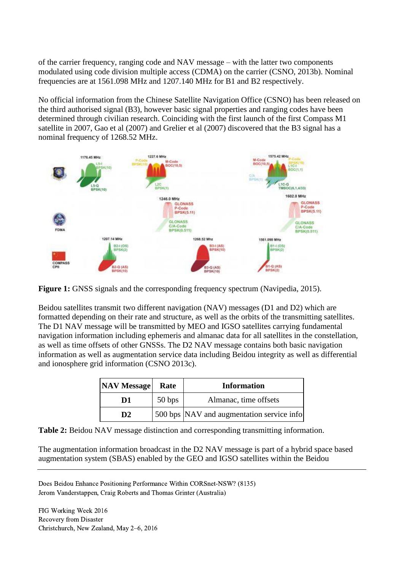of the carrier frequency, ranging code and NAV message – with the latter two components modulated using code division multiple access (CDMA) on the carrier (CSNO, 2013b). Nominal frequencies are at 1561.098 MHz and 1207.140 MHz for B1 and B2 respectively.

No official information from the Chinese Satellite Navigation Office (CSNO) has been released on the third authorised signal (B3), however basic signal properties and ranging codes have been determined through civilian research. Coinciding with the first launch of the first Compass M1 satellite in 2007, Gao et al (2007) and Grelier et al (2007) discovered that the B3 signal has a nominal frequency of 1268.52 MHz.



**Figure 1:** GNSS signals and the corresponding frequency spectrum (Navipedia, 2015).

Beidou satellites transmit two different navigation (NAV) messages (D1 and D2) which are formatted depending on their rate and structure, as well as the orbits of the transmitting satellites. The D1 NAV message will be transmitted by MEO and IGSO satellites carrying fundamental navigation information including ephemeris and almanac data for all satellites in the constellation, as well as time offsets of other GNSSs. The D2 NAV message contains both basic navigation information as well as augmentation service data including Beidou integrity as well as differential and ionosphere grid information (CSNO 2013c).

| <b>NAV Message</b> | Rate   | <b>Information</b>                        |
|--------------------|--------|-------------------------------------------|
| D1                 | 50 bps | Almanac, time offsets                     |
| D <sub>2</sub>     |        | 500 bps NAV and augmentation service info |

**Table 2:** Beidou NAV message distinction and corresponding transmitting information.

The augmentation information broadcast in the D2 NAV message is part of a hybrid space based augmentation system (SBAS) enabled by the GEO and IGSO satellites within the Beidou

Does Beidou Enhance Positioning Performance Within CORSnet-NSW? (8135) Jerom Vanderstappen, Craig Roberts and Thomas Grinter (Australia)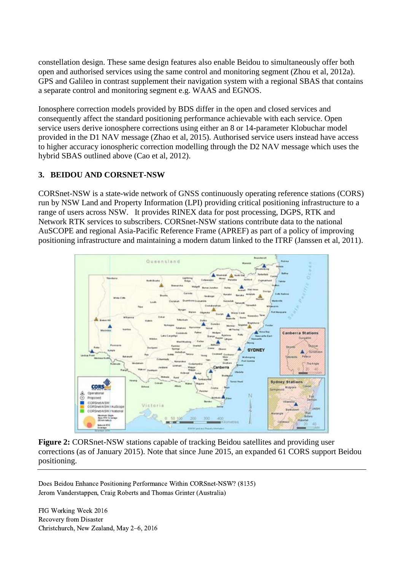constellation design. These same design features also enable Beidou to simultaneously offer both open and authorised services using the same control and monitoring segment (Zhou et al, 2012a). GPS and Galileo in contrast supplement their navigation system with a regional SBAS that contains a separate control and monitoring segment e.g. WAAS and EGNOS.

Ionosphere correction models provided by BDS differ in the open and closed services and consequently affect the standard positioning performance achievable with each service. Open service users derive ionosphere corrections using either an 8 or 14-parameter Klobuchar model provided in the D1 NAV message (Zhao et al, 2015). Authorised service users instead have access to higher accuracy ionospheric correction modelling through the D2 NAV message which uses the hybrid SBAS outlined above (Cao et al, 2012).

# **3. BEIDOU AND CORSNET-NSW**

CORSnet-NSW is a state-wide network of GNSS continuously operating reference stations (CORS) run by NSW Land and Property Information (LPI) providing critical positioning infrastructure to a range of users across NSW. It provides RINEX data for post processing, DGPS, RTK and Network RTK services to subscribers. CORSnet-NSW stations contribute data to the national AuSCOPE and regional Asia-Pacific Reference Frame (APREF) as part of a policy of improving positioning infrastructure and maintaining a modern datum linked to the ITRF (Janssen et al, 2011).



**Figure 2:** CORSnet-NSW stations capable of tracking Beidou satellites and providing user corrections (as of January 2015). Note that since June 2015, an expanded 61 CORS support Beidou positioning.

Does Beidou Enhance Positioning Performance Within CORSnet-NSW? (8135) Jerom Vanderstappen, Craig Roberts and Thomas Grinter (Australia)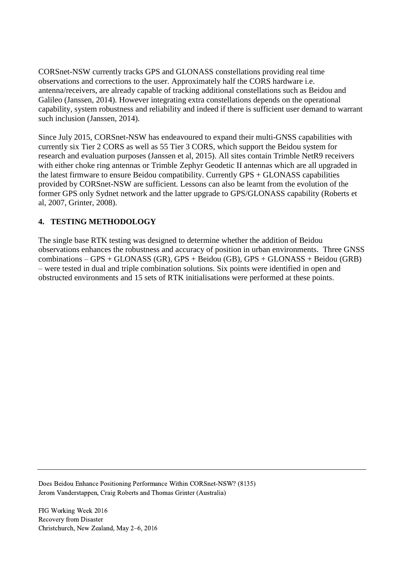CORSnet-NSW currently tracks GPS and GLONASS constellations providing real time observations and corrections to the user. Approximately half the CORS hardware i.e. antenna/receivers, are already capable of tracking additional constellations such as Beidou and Galileo (Janssen, 2014). However integrating extra constellations depends on the operational capability, system robustness and reliability and indeed if there is sufficient user demand to warrant such inclusion (Janssen, 2014).

Since July 2015, CORSnet-NSW has endeavoured to expand their multi-GNSS capabilities with currently six Tier 2 CORS as well as 55 Tier 3 CORS, which support the Beidou system for research and evaluation purposes (Janssen et al, 2015). All sites contain Trimble NetR9 receivers with either choke ring antennas or Trimble Zephyr Geodetic II antennas which are all upgraded in the latest firmware to ensure Beidou compatibility. Currently GPS + GLONASS capabilities provided by CORSnet-NSW are sufficient. Lessons can also be learnt from the evolution of the former GPS only Sydnet network and the latter upgrade to GPS/GLONASS capability (Roberts et al, 2007, Grinter, 2008).

# **4. TESTING METHODOLOGY**

The single base RTK testing was designed to determine whether the addition of Beidou observations enhances the robustness and accuracy of position in urban environments. Three GNSS combinations – GPS + GLONASS (GR), GPS + Beidou (GB), GPS + GLONASS + Beidou (GRB) – were tested in dual and triple combination solutions. Six points were identified in open and obstructed environments and 15 sets of RTK initialisations were performed at these points.

Does Beidou Enhance Positioning Performance Within CORSnet-NSW? (8135) Jerom Vanderstappen, Craig Roberts and Thomas Grinter (Australia)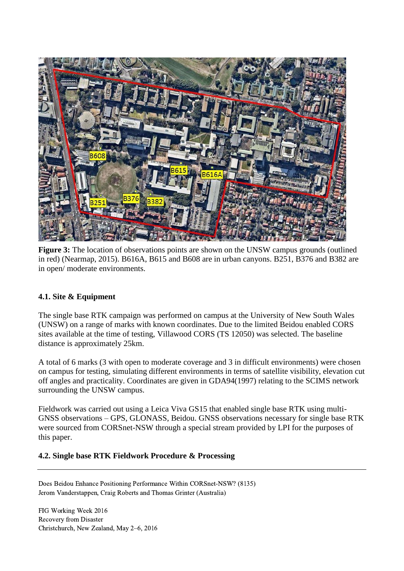

**Figure 3:** The location of observations points are shown on the UNSW campus grounds (outlined in red) (Nearmap, 2015). B616A, B615 and B608 are in urban canyons. B251, B376 and B382 are in open/ moderate environments.

### **4.1. Site & Equipment**

The single base RTK campaign was performed on campus at the University of New South Wales (UNSW) on a range of marks with known coordinates. Due to the limited Beidou enabled CORS sites available at the time of testing, Villawood CORS (TS 12050) was selected. The baseline distance is approximately 25km.

A total of 6 marks (3 with open to moderate coverage and 3 in difficult environments) were chosen on campus for testing, simulating different environments in terms of satellite visibility, elevation cut off angles and practicality. Coordinates are given in GDA94(1997) relating to the SCIMS network surrounding the UNSW campus.

Fieldwork was carried out using a Leica Viva GS15 that enabled single base RTK using multi-GNSS observations – GPS, GLONASS, Beidou. GNSS observations necessary for single base RTK were sourced from CORSnet-NSW through a special stream provided by LPI for the purposes of this paper.

### **4.2. Single base RTK Fieldwork Procedure & Processing**

Does Beidou Enhance Positioning Performance Within CORSnet-NSW? (8135) Jerom Vanderstappen, Craig Roberts and Thomas Grinter (Australia)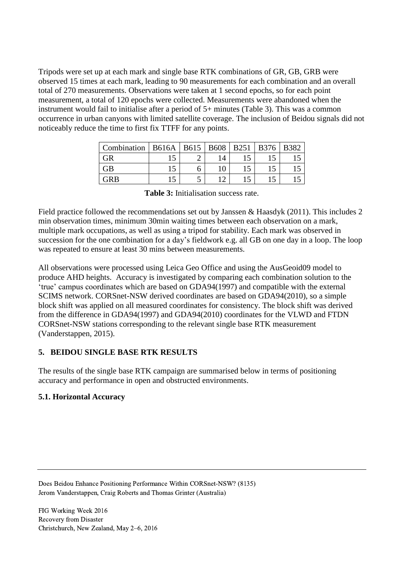Tripods were set up at each mark and single base RTK combinations of GR, GB, GRB were observed 15 times at each mark, leading to 90 measurements for each combination and an overall total of 270 measurements. Observations were taken at 1 second epochs, so for each point measurement, a total of 120 epochs were collected. Measurements were abandoned when the instrument would fail to initialise after a period of 5+ minutes (Table 3). This was a common occurrence in urban canyons with limited satellite coverage. The inclusion of Beidou signals did not noticeably reduce the time to first fix TTFF for any points.

| Combination | <b>B616A</b> | <b>B615</b> | <b>B608</b> | <b>B251</b> | <b>B376</b> | <b>B382</b> |
|-------------|--------------|-------------|-------------|-------------|-------------|-------------|
| GR          |              |             |             |             |             |             |
| GВ          |              |             | 10          |             |             |             |
| GRB         |              | ت           |             |             |             |             |

|  | <b>Table 3:</b> Initialisation success rate. |  |  |
|--|----------------------------------------------|--|--|
|--|----------------------------------------------|--|--|

Field practice followed the recommendations set out by Janssen & Haasdyk (2011). This includes 2 min observation times, minimum 30min waiting times between each observation on a mark, multiple mark occupations, as well as using a tripod for stability. Each mark was observed in succession for the one combination for a day's fieldwork e.g. all GB on one day in a loop. The loop was repeated to ensure at least 30 mins between measurements.

All observations were processed using Leica Geo Office and using the AusGeoid09 model to produce AHD heights. Accuracy is investigated by comparing each combination solution to the 'true' campus coordinates which are based on GDA94(1997) and compatible with the external SCIMS network. CORSnet-NSW derived coordinates are based on GDA94(2010), so a simple block shift was applied on all measured coordinates for consistency. The block shift was derived from the difference in GDA94(1997) and GDA94(2010) coordinates for the VLWD and FTDN CORSnet-NSW stations corresponding to the relevant single base RTK measurement (Vanderstappen, 2015).

### **5. BEIDOU SINGLE BASE RTK RESULTS**

The results of the single base RTK campaign are summarised below in terms of positioning accuracy and performance in open and obstructed environments.

### **5.1. Horizontal Accuracy**

Does Beidou Enhance Positioning Performance Within CORSnet-NSW? (8135) Jerom Vanderstappen, Craig Roberts and Thomas Grinter (Australia)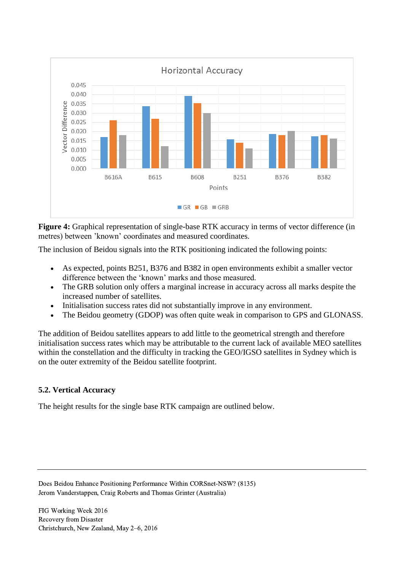

**Figure 4:** Graphical representation of single-base RTK accuracy in terms of vector difference (in metres) between 'known' coordinates and measured coordinates.

The inclusion of Beidou signals into the RTK positioning indicated the following points:

- As expected, points B251, B376 and B382 in open environments exhibit a smaller vector difference between the 'known' marks and those measured.
- The GRB solution only offers a marginal increase in accuracy across all marks despite the increased number of satellites.
- Initialisation success rates did not substantially improve in any environment.
- The Beidou geometry (GDOP) was often quite weak in comparison to GPS and GLONASS.

The addition of Beidou satellites appears to add little to the geometrical strength and therefore initialisation success rates which may be attributable to the current lack of available MEO satellites within the constellation and the difficulty in tracking the GEO/IGSO satellites in Sydney which is on the outer extremity of the Beidou satellite footprint.

# **5.2. Vertical Accuracy**

The height results for the single base RTK campaign are outlined below.

Does Beidou Enhance Positioning Performance Within CORSnet-NSW? (8135) Jerom Vanderstappen, Craig Roberts and Thomas Grinter (Australia)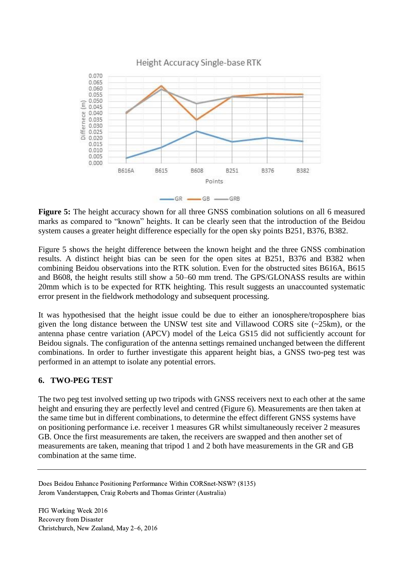

**Figure 5:** The height accuracy shown for all three GNSS combination solutions on all 6 measured marks as compared to "known" heights. It can be clearly seen that the introduction of the Beidou system causes a greater height difference especially for the open sky points B251, B376, B382.

Figure 5 shows the height difference between the known height and the three GNSS combination results. A distinct height bias can be seen for the open sites at B251, B376 and B382 when combining Beidou observations into the RTK solution. Even for the obstructed sites B616A, B615 and B608, the height results still show a 50–60 mm trend. The GPS/GLONASS results are within 20mm which is to be expected for RTK heighting. This result suggests an unaccounted systematic error present in the fieldwork methodology and subsequent processing.

It was hypothesised that the height issue could be due to either an ionosphere/troposphere bias given the long distance between the UNSW test site and Villawood CORS site (~25km), or the antenna phase centre variation (APCV) model of the Leica GS15 did not sufficiently account for Beidou signals. The configuration of the antenna settings remained unchanged between the different combinations. In order to further investigate this apparent height bias, a GNSS two-peg test was performed in an attempt to isolate any potential errors.

### **6. TWO-PEG TEST**

The two peg test involved setting up two tripods with GNSS receivers next to each other at the same height and ensuring they are perfectly level and centred (Figure 6). Measurements are then taken at the same time but in different combinations, to determine the effect different GNSS systems have on positioning performance i.e. receiver 1 measures GR whilst simultaneously receiver 2 measures GB. Once the first measurements are taken, the receivers are swapped and then another set of measurements are taken, meaning that tripod 1 and 2 both have measurements in the GR and GB combination at the same time.

Does Beidou Enhance Positioning Performance Within CORSnet-NSW? (8135) Jerom Vanderstappen, Craig Roberts and Thomas Grinter (Australia)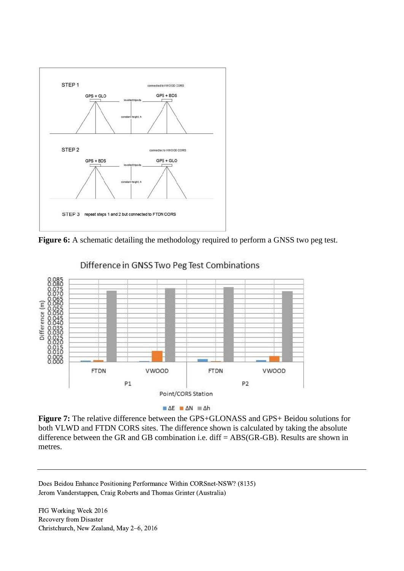

**Figure 6:** A schematic detailing the methodology required to perform a GNSS two peg test.



Difference in GNSS Two Peg Test Combinations

**Figure 7:** The relative difference between the GPS+GLONASS and GPS+ Beidou solutions for both VLWD and FTDN CORS sites. The difference shown is calculated by taking the absolute difference between the GR and GB combination i.e. diff = ABS(GR-GB). Results are shown in metres.

Does Beidou Enhance Positioning Performance Within CORSnet-NSW? (8135) Jerom Vanderstappen, Craig Roberts and Thomas Grinter (Australia)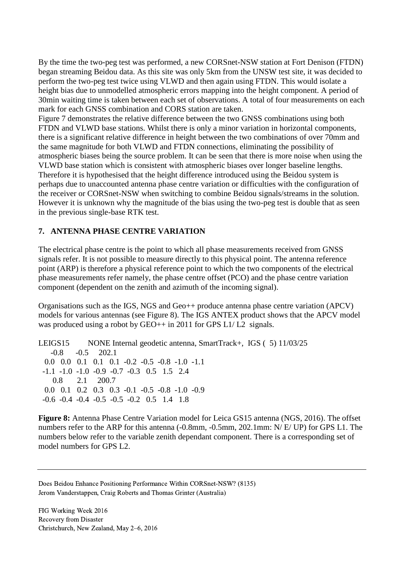By the time the two-peg test was performed, a new CORSnet-NSW station at Fort Denison (FTDN) began streaming Beidou data. As this site was only 5km from the UNSW test site, it was decided to perform the two-peg test twice using VLWD and then again using FTDN. This would isolate a height bias due to unmodelled atmospheric errors mapping into the height component. A period of 30min waiting time is taken between each set of observations. A total of four measurements on each mark for each GNSS combination and CORS station are taken.

Figure 7 demonstrates the relative difference between the two GNSS combinations using both FTDN and VLWD base stations. Whilst there is only a minor variation in horizontal components, there is a significant relative difference in height between the two combinations of over 70mm and the same magnitude for both VLWD and FTDN connections, eliminating the possibility of atmospheric biases being the source problem. It can be seen that there is more noise when using the VLWD base station which is consistent with atmospheric biases over longer baseline lengths. Therefore it is hypothesised that the height difference introduced using the Beidou system is perhaps due to unaccounted antenna phase centre variation or difficulties with the configuration of the receiver or CORSnet-NSW when switching to combine Beidou signals/streams in the solution. However it is unknown why the magnitude of the bias using the two-peg test is double that as seen in the previous single-base RTK test.

### **7. ANTENNA PHASE CENTRE VARIATION**

The electrical phase centre is the point to which all phase measurements received from GNSS signals refer. It is not possible to measure directly to this physical point. The antenna reference point (ARP) is therefore a physical reference point to which the two components of the electrical phase measurements refer namely, the phase centre offset (PCO) and the phase centre variation component (dependent on the zenith and azimuth of the incoming signal).

Organisations such as the IGS, NGS and Geo++ produce antenna phase centre variation (APCV) models for various antennas (see Figure 8). The IGS ANTEX product shows that the APCV model was produced using a robot by GEO++ in 2011 for GPS L1/ L2 signals.

LEIGS15 NONE Internal geodetic antenna, SmartTrack+, IGS ( 5) 11/03/25 -0.8 -0.5 202.1 0.0 0.0 0.1 0.1 0.1 -0.2 -0.5 -0.8 -1.0 -1.1 -1.1 -1.0 -1.0 -0.9 -0.7 -0.3 0.5 1.5 2.4 0.8 2.1 200.7 0.0 0.1 0.2 0.3 0.3 -0.1 -0.5 -0.8 -1.0 -0.9 -0.6 -0.4 -0.4 -0.5 -0.5 -0.2 0.5 1.4 1.8

**Figure 8:** Antenna Phase Centre Variation model for Leica GS15 antenna (NGS, 2016). The offset numbers refer to the ARP for this antenna (-0.8mm, -0.5mm, 202.1mm: N/ E/ UP) for GPS L1. The numbers below refer to the variable zenith dependant component. There is a corresponding set of model numbers for GPS L2.

Does Beidou Enhance Positioning Performance Within CORSnet-NSW? (8135) Jerom Vanderstappen, Craig Roberts and Thomas Grinter (Australia)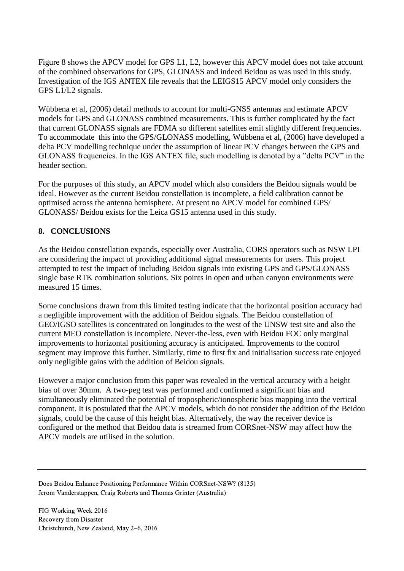Figure 8 shows the APCV model for GPS L1, L2, however this APCV model does not take account of the combined observations for GPS, GLONASS and indeed Beidou as was used in this study. Investigation of the IGS ANTEX file reveals that the LEIGS15 APCV model only considers the GPS L1/L2 signals.

Wübbena et al, (2006) detail methods to account for multi-GNSS antennas and estimate APCV models for GPS and GLONASS combined measurements. This is further complicated by the fact that current GLONASS signals are FDMA so different satellites emit slightly different frequencies. To accommodate this into the GPS/GLONASS modelling, Wübbena et al, (2006) have developed a delta PCV modelling technique under the assumption of linear PCV changes between the GPS and GLONASS frequencies. In the IGS ANTEX file, such modelling is denoted by a "delta PCV" in the header section.

For the purposes of this study, an APCV model which also considers the Beidou signals would be ideal. However as the current Beidou constellation is incomplete, a field calibration cannot be optimised across the antenna hemisphere. At present no APCV model for combined GPS/ GLONASS/ Beidou exists for the Leica GS15 antenna used in this study.

### **8. CONCLUSIONS**

As the Beidou constellation expands, especially over Australia, CORS operators such as NSW LPI are considering the impact of providing additional signal measurements for users. This project attempted to test the impact of including Beidou signals into existing GPS and GPS/GLONASS single base RTK combination solutions. Six points in open and urban canyon environments were measured 15 times.

Some conclusions drawn from this limited testing indicate that the horizontal position accuracy had a negligible improvement with the addition of Beidou signals. The Beidou constellation of GEO/IGSO satellites is concentrated on longitudes to the west of the UNSW test site and also the current MEO constellation is incomplete. Never-the-less, even with Beidou FOC only marginal improvements to horizontal positioning accuracy is anticipated. Improvements to the control segment may improve this further. Similarly, time to first fix and initialisation success rate enjoyed only negligible gains with the addition of Beidou signals.

However a major conclusion from this paper was revealed in the vertical accuracy with a height bias of over 30mm. A two-peg test was performed and confirmed a significant bias and simultaneously eliminated the potential of tropospheric/ionospheric bias mapping into the vertical component. It is postulated that the APCV models, which do not consider the addition of the Beidou signals, could be the cause of this height bias. Alternatively, the way the receiver device is configured or the method that Beidou data is streamed from CORSnet-NSW may affect how the APCV models are utilised in the solution.

Does Beidou Enhance Positioning Performance Within CORSnet-NSW? (8135) Jerom Vanderstappen, Craig Roberts and Thomas Grinter (Australia)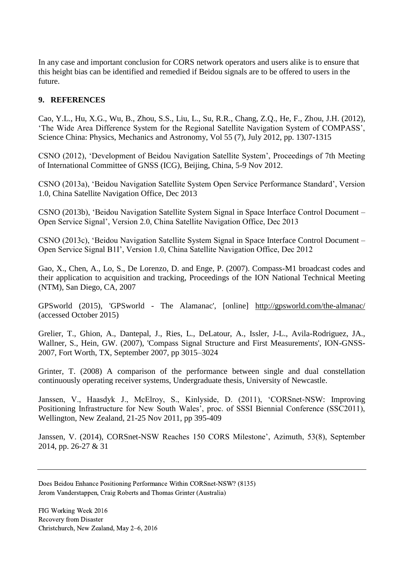In any case and important conclusion for CORS network operators and users alike is to ensure that this height bias can be identified and remedied if Beidou signals are to be offered to users in the future.

#### **9. REFERENCES**

Cao, Y.L., Hu, X.G., Wu, B., Zhou, S.S., Liu, L., Su, R.R., Chang, Z.Q., He, F., Zhou, J.H. (2012), 'The Wide Area Difference System for the Regional Satellite Navigation System of COMPASS', Science China: Physics, Mechanics and Astronomy, Vol 55 (7), July 2012, pp. 1307-1315

CSNO (2012), 'Development of Beidou Navigation Satellite System', Proceedings of 7th Meeting of International Committee of GNSS (ICG), Beijing, China, 5-9 Nov 2012.

CSNO (2013a), 'Beidou Navigation Satellite System Open Service Performance Standard', Version 1.0, China Satellite Navigation Office, Dec 2013

CSNO (2013b), 'Beidou Navigation Satellite System Signal in Space Interface Control Document – Open Service Signal', Version 2.0, China Satellite Navigation Office, Dec 2013

CSNO (2013c), 'Beidou Navigation Satellite System Signal in Space Interface Control Document – Open Service Signal B1I', Version 1.0, China Satellite Navigation Office, Dec 2012

Gao, X., Chen, A., Lo, S., De Lorenzo, D. and Enge, P. (2007). Compass-M1 broadcast codes and their application to acquisition and tracking, Proceedings of the ION National Technical Meeting (NTM), San Diego, CA, 2007

GPSworld (2015), 'GPSworld - The Alamanac', [online] <http://gpsworld.com/the-almanac/> (accessed October 2015)

Grelier, T., Ghion, A., Dantepal, J., Ries, L., DeLatour, A., Issler, J-L., Avila-Rodriguez, JA., Wallner, S., Hein, GW. (2007), 'Compass Signal Structure and First Measurements', ION-GNSS-2007, Fort Worth, TX, September 2007, pp 3015–3024

Grinter, T. (2008) A comparison of the performance between single and dual constellation continuously operating receiver systems, Undergraduate thesis, University of Newcastle.

Janssen, V., Haasdyk J., McElroy, S., Kinlyside, D. (2011), 'CORSnet-NSW: Improving Positioning Infrastructure for New South Wales', proc. of SSSI Biennial Conference (SSC2011), Wellington, New Zealand, 21-25 Nov 2011, pp 395-409

Janssen, V. (2014), CORSnet-NSW Reaches 150 CORS Milestone', Azimuth, 53(8), September 2014, pp. 26-27 & 31

Does Beidou Enhance Positioning Performance Within CORSnet-NSW? (8135) Jerom Vanderstappen, Craig Roberts and Thomas Grinter (Australia)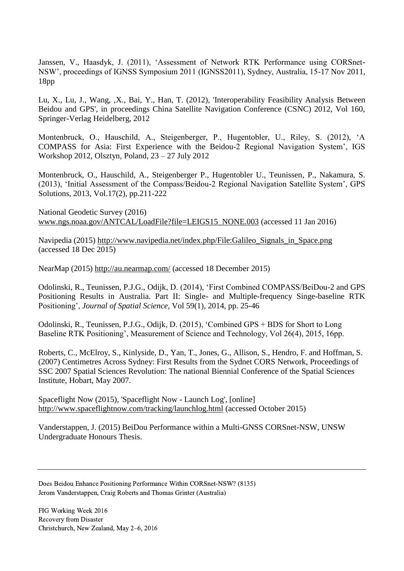Janssen, V., Haasdyk, J. (2011), 'Assessment of Network RTK Performance using CORSnet-NSW', proceedings of IGNSS Symposium 2011 (IGNSS2011), Sydney, Australia, 15-17 Nov 2011, 18pp

Lu, X., Lu, J., Wang, ,X., Bai, Y., Han, T. (2012), 'Interoperability Feasibility Analysis Between Beidou and GPS', in proceedings China Satellite Navigation Conference (CSNC) 2012, Vol 160, Springer-Verlag Heidelberg, 2012

Montenbruck, O., Hauschild, A., Steigenberger, P., Hugentobler, U., Riley, S. (2012), 'A COMPASS for Asia: First Experience with the Beidou-2 Regional Navigation System', IGS Workshop 2012, Olsztyn, Poland, 23 – 27 July 2012

Montenbruck, O., Hauschild, A., Steigenberger P., Hugentobler U., Teunissen, P., Nakamura, S. (2013), 'Initial Assessment of the Compass/Beidou-2 Regional Navigation Satellite System', GPS Solutions, 2013, Vol.17(2), pp.211-222

National Geodetic Survey (2016) [www.ngs.noaa.gov/ANTCAL/LoadFile?file=LEIGS15\\_NONE.003](http://www.ngs.noaa.gov/ANTCAL/LoadFile?file=LEIGS15_NONE.003) (accessed 11 Jan 2016)

Navipedia (2015) [http://www.navipedia.net/index.php/File:Galileo\\_Signals\\_in\\_Space.png](http://www.navipedia.net/index.php/File:Galileo_Signals_in_Space.png) (accessed 18 Dec 2015)

NearMap (2015)<http://au.nearmap.com/> (accessed 18 December 2015)

Odolinski, R., Teunissen, P.J.G., Odijk, D. (2014), 'First Combined COMPASS/BeiDou-2 and GPS Positioning Results in Australia. Part II: Single- and Multiple-frequency Singe-baseline RTK Positioning', *Journal of Spatial Science*, Vol 59(1), 2014, pp. 25-46

Odolinski, R., Teunissen, P.J.G., Odijk, D. (2015), 'Combined GPS + BDS for Short to Long Baseline RTK Positioning', Measurement of Science and Technology, Vol 26(4), 2015, 16pp.

Roberts, C., McElroy, S., Kinlyside, D., Yan, T., Jones, G., Allison, S., Hendro, F. and Hoffman, S. (2007) Centimetres Across Sydney: First Results from the Sydnet CORS Network, Proceedings of SSC 2007 Spatial Sciences Revolution: The national Biennial Conference of the Spatial Sciences Institute, Hobart, May 2007.

Spaceflight Now (2015), 'Spaceflight Now - Launch Log', [online] <http://www.spaceflightnow.com/tracking/launchlog.html> (accessed October 2015)

Vanderstappen, J. (2015) BeiDou Performance within a Multi-GNSS CORSnet-NSW, UNSW Undergraduate Honours Thesis.

Does Beidou Enhance Positioning Performance Within CORSnet-NSW? (8135) Jerom Vanderstappen, Craig Roberts and Thomas Grinter (Australia)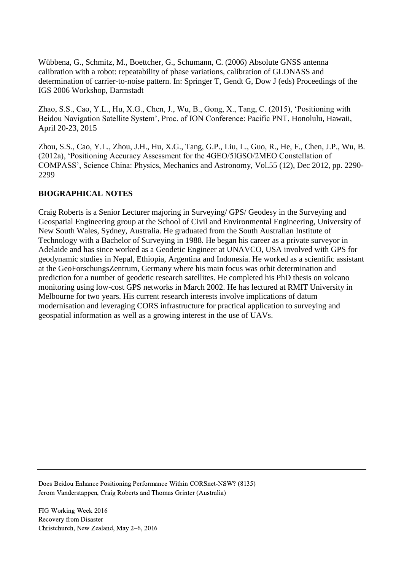Wübbena, G., Schmitz, M., Boettcher, G., Schumann, C. (2006) Absolute GNSS antenna calibration with a robot: repeatability of phase variations, calibration of GLONASS and determination of carrier-to-noise pattern. In: Springer T, Gendt G, Dow J (eds) Proceedings of the IGS 2006 Workshop, Darmstadt

Zhao, S.S., Cao, Y.L., Hu, X.G., Chen, J., Wu, B., Gong, X., Tang, C. (2015), 'Positioning with Beidou Navigation Satellite System', Proc. of ION Conference: Pacific PNT, Honolulu, Hawaii, April 20-23, 2015

Zhou, S.S., Cao, Y.L., Zhou, J.H., Hu, X.G., Tang, G.P., Liu, L., Guo, R., He, F., Chen, J.P., Wu, B. (2012a), 'Positioning Accuracy Assessment for the 4GEO/5IGSO/2MEO Constellation of COMPASS', Science China: Physics, Mechanics and Astronomy, Vol.55 (12), Dec 2012, pp. 2290- 2299

### **BIOGRAPHICAL NOTES**

Craig Roberts is a Senior Lecturer majoring in Surveying/ GPS/ Geodesy in the Surveying and Geospatial Engineering group at the School of Civil and Environmental Engineering, University of New South Wales, Sydney, Australia. He graduated from the South Australian Institute of Technology with a Bachelor of Surveying in 1988. He began his career as a private surveyor in Adelaide and has since worked as a Geodetic Engineer at UNAVCO, USA involved with GPS for geodynamic studies in Nepal, Ethiopia, Argentina and Indonesia. He worked as a scientific assistant at the GeoForschungsZentrum, Germany where his main focus was orbit determination and prediction for a number of geodetic research satellites. He completed his PhD thesis on volcano monitoring using low-cost GPS networks in March 2002. He has lectured at RMIT University in Melbourne for two years. His current research interests involve implications of datum modernisation and leveraging CORS infrastructure for practical application to surveying and geospatial information as well as a growing interest in the use of UAVs.

Does Beidou Enhance Positioning Performance Within CORSnet-NSW? (8135) Jerom Vanderstappen, Craig Roberts and Thomas Grinter (Australia)